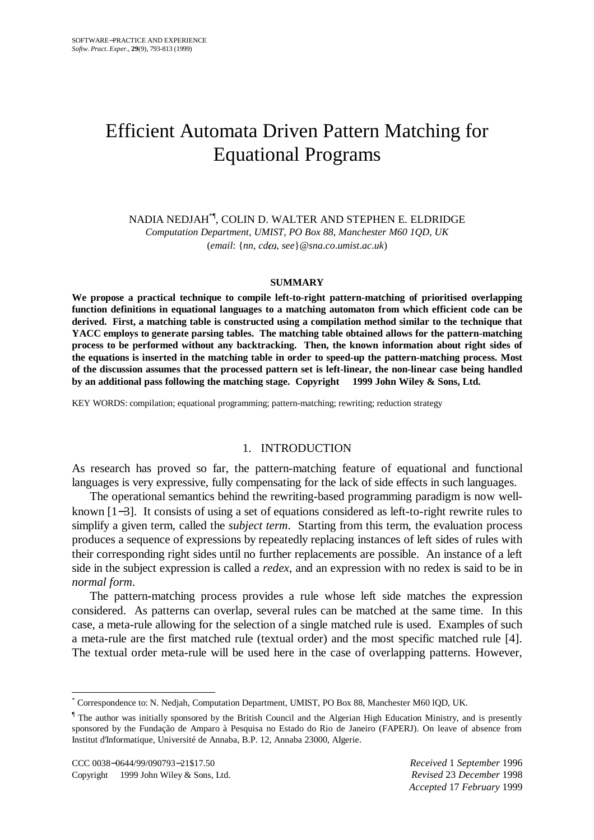# Efficient Automata Driven Pattern Matching for Equational Programs

NADIA NEDJAH\*¶, COLIN D. WALTER AND STEPHEN E. ELDRIDGE *Computation Department*, *UMIST*, *PO Box 88*, *Manchester M60 1QD*, *UK* (*email*: {*nn*, *cd* , *see*}*@sna*.*co*.*umist*.*ac*.*uk*)

#### **SUMMARY**

**We propose a practical technique to compile left-to-right pattern-matching of prioritised overlapping function definitions in equational languages to a matching automaton from which efficient code can be derived. First, a matching table is constructed using a compilation method similar to the technique that YACC employs to generate parsing tables. The matching table obtained allows for the pattern-matching process to be performed without any backtracking. Then, the known information about right sides of the equations is inserted in the matching table in order to speed-up the pattern-matching process. Most of the discussion assumes that the processed pattern set is left-linear, the non-linear case being handled by an additional pass following the matching stage. Copyright 1999 John Wiley & Sons, Ltd.**

KEY WORDS: compilation; equational programming; pattern-matching; rewriting; reduction strategy

## 1. INTRODUCTION

As research has proved so far, the pattern-matching feature of equational and functional languages is very expressive, fully compensating for the lack of side effects in such languages.

The operational semantics behind the rewriting-based programming paradigm is now wellknown [1−3]. It consists of using a set of equations considered as left-to-right rewrite rules to simplify a given term, called the *subject term*. Starting from this term, the evaluation process produces a sequence of expressions by repeatedly replacing instances of left sides of rules with their corresponding right sides until no further replacements are possible. An instance of a left side in the subject expression is called a *redex*, and an expression with no redex is said to be in *normal form*.

The pattern-matching process provides a rule whose left side matches the expression considered. As patterns can overlap, several rules can be matched at the same time. In this case, a meta-rule allowing for the selection of a single matched rule is used. Examples of such a meta-rule are the first matched rule (textual order) and the most specific matched rule [4]. The textual order meta-rule will be used here in the case of overlapping patterns. However,

 $\overline{a}$ 

<sup>\*</sup> Correspondence to: N. Nedjah, Computation Department, UMIST, PO Box 88, Manchester M60 lQD, UK.

<sup>&</sup>lt;sup>1</sup> The author was initially sponsored by the British Council and the Algerian High Education Ministry, and is presently sponsored by the Fundação de Amparo à Pesquisa no Estado do Rio de Janeiro (FAPERJ). On leave of absence from Institut d'Informatique, Université de Annaba, B.P. 12, Annaba 23000, AIgerie.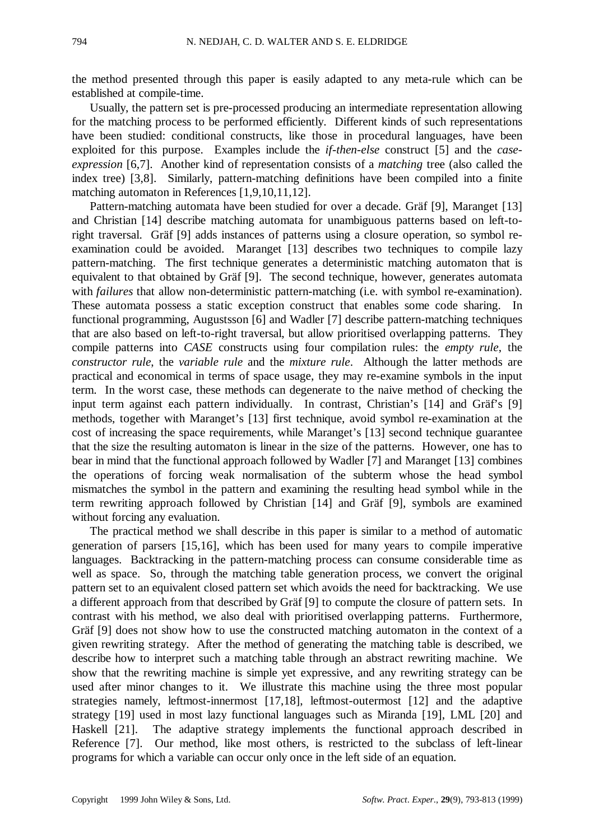the method presented through this paper is easily adapted to any meta-rule which can be established at compile-time.

Usually, the pattern set is pre-processed producing an intermediate representation allowing for the matching process to be performed efficiently. Different kinds of such representations have been studied: conditional constructs, like those in procedural languages, have been exploited for this purpose. Examples include the *if-then-else* construct [5] and the *caseexpression* [6,7]. Another kind of representation consists of a *matching* tree (also called the index tree) [3,8]. Similarly, pattern-matching definitions have been compiled into a finite matching automaton in References [1,9,10,11,12].

Pattern-matching automata have been studied for over a decade. Gräf [9], Maranget [13] and Christian [14] describe matching automata for unambiguous patterns based on left-toright traversal. Gräf [9] adds instances of patterns using a closure operation, so symbol reexamination could be avoided. Maranget [13] describes two techniques to compile lazy pattern-matching. The first technique generates a deterministic matching automaton that is equivalent to that obtained by Gräf [9]. The second technique, however, generates automata with *failures* that allow non-deterministic pattern-matching (i.e. with symbol re-examination). These automata possess a static exception construct that enables some code sharing. functional programming, Augustsson [6] and Wadler [7] describe pattern-matching techniques that are also based on left-to-right traversal, but allow prioritised overlapping patterns. They compile patterns into *CASE* constructs using four compilation rules: the *empty rule*, the *constructor rule*, the *variable rule* and the *mixture rule*. Although the latter methods are practical and economical in terms of space usage, they may re-examine symbols in the input term. In the worst case, these methods can degenerate to the naive method of checking the input term against each pattern individually. In contrast, Christian's [14] and Gräf's [9] methods, together with Maranget's [13] first technique, avoid symbol re-examination at the cost of increasing the space requirements, while Maranget's [13] second technique guarantee that the size the resulting automaton is linear in the size of the patterns. However, one has to bear in mind that the functional approach followed by Wadler [7] and Maranget [13] combines the operations of forcing weak normalisation of the subterm whose the head symbol mismatches the symbol in the pattern and examining the resulting head symbol while in the term rewriting approach followed by Christian [14] and Gräf [9], symbols are examined without forcing any evaluation.

The practical method we shall describe in this paper is similar to a method of automatic generation of parsers [15,16], which has been used for many years to compile imperative languages. Backtracking in the pattern-matching process can consume considerable time as well as space. So, through the matching table generation process, we convert the original pattern set to an equivalent closed pattern set which avoids the need for backtracking. We use a different approach from that described by Gräf [9] to compute the closure of pattern sets. In contrast with his method, we also deal with prioritised overlapping patterns. Furthermore, Gräf [9] does not show how to use the constructed matching automaton in the context of a given rewriting strategy. After the method of generating the matching table is described, we describe how to interpret such a matching table through an abstract rewriting machine. We show that the rewriting machine is simple yet expressive, and any rewriting strategy can be used after minor changes to it. We illustrate this machine using the three most popular strategies namely, leftmost-innermost [17,18], leftmost-outermost [12] and the adaptive strategy [19] used in most lazy functional languages such as Miranda [19], LML [20] and Haskell [21]. The adaptive strategy implements the functional approach described in Reference [7]. Our method, like most others, is restricted to the subclass of left-linear programs for which a variable can occur only once in the left side of an equation.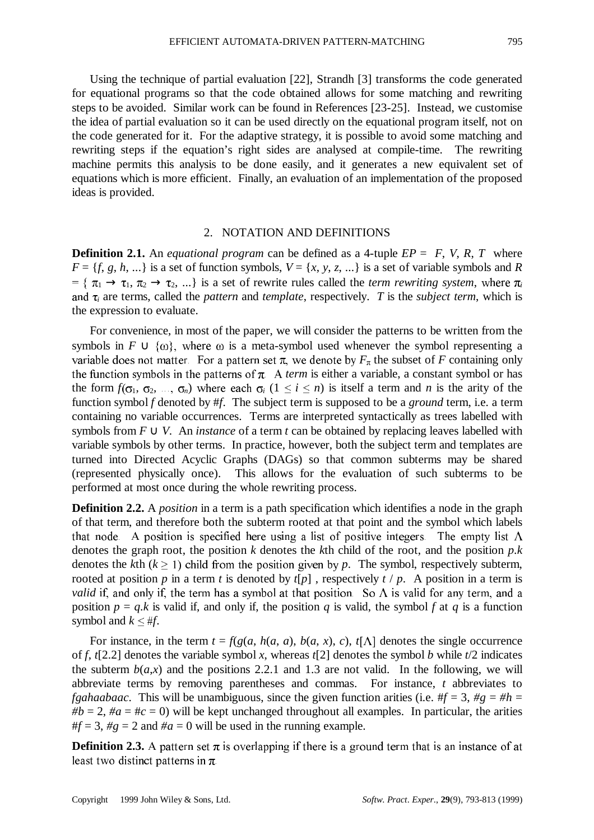Using the technique of partial evaluation [22], Strandh [3] transforms the code generated for equational programs so that the code obtained allows for some matching and rewriting steps to be avoided. Similar work can be found in References [23-25]. Instead, we customise the idea of partial evaluation so it can be used directly on the equational program itself, not on the code generated for it. For the adaptive strategy, it is possible to avoid some matching and rewriting steps if the equation's right sides are analysed at compile-time. The rewriting machine permits this analysis to be done easily, and it generates a new equivalent set of equations which is more efficient. Finally, an evaluation of an implementation of the proposed ideas is provided.

### 2. NOTATION AND DEFINITIONS

**Definition 2.1.** An *equational program* can be defined as a 4-tuple  $EP = \langle F, V, R, T \rangle$  where  $F = \{f, g, h, \ldots\}$  is a set of function symbols,  $V = \{x, y, z, \ldots\}$  is a set of variable symbols and *R*  $= \{ \pi_1 \rightarrow \tau_1, \pi_2 \rightarrow \tau_2, ...\}$  is a set of rewrite rules called the *term rewriting system*, where  $\pi_i$ and  $\tau_i$  are terms, called the *pattern* and *template*, respectively. *T* is the *subject term*, which is the expression to evaluate.

For convenience, in most of the paper, we will consider the patterns to be written from the symbols in  $F \cup \{\omega\}$ , where  $\omega$  is a meta-symbol used whenever the symbol representing a variable does not matter. For a pattern set  $\pi$ , we denote by  $F_{\pi}$  the subset of *F* containing only the function symbols in the patterns of  $\pi$ . A *term* is either a variable, a constant symbol or has the form  $f(\sigma_1, \sigma_2, ..., \sigma_n)$  where each  $\sigma_i$  ( $1 \le i \le n$ ) is itself a term and *n* is the arity of the function symbol *f* denoted by #*f*.The subject term is supposed to be a *ground* term, i.e. a term containing no variable occurrences. Terms are interpreted syntactically as trees labelled with symbols from  $F \cup V$ . An *instance* of a term *t* can be obtained by replacing leaves labelled with variable symbols by other terms. In practice, however, both the subject term and templates are turned into Directed Acyclic Graphs (DAGs) so that common subterms may be shared (represented physically once). This allows for the evaluation of such subterms to be performed at most once during the whole rewriting process.

**Definition 2.2.** A *position* in a term is a path specification which identifies a node in the graph of that term, and therefore both the subterm rooted at that point and the symbol which labels that node. A position is specified here using a list of positive integers. The empty list  $\Lambda$ denotes the graph root, the position *k* denotes the *k*th child of the root, and the position *p*.*k* denotes the *k*th  $(k \ge 1)$  child from the position given by p. The symbol, respectively subterm, rooted at position *p* in a term *t* is denoted by  $t[p]$ , respectively  $t/p$ . A position in a term is *valid* if, and only if, the term has a symbol at that position. So  $\Lambda$  is valid for any term, and a position  $p = q$ .*k* is valid if, and only if, the position *q* is valid, the symbol *f* at *q* is a function symbol and  $k \leq #f$ .

For instance, in the term  $t = f(g(a, h(a, a), b(a, x), c), t[\Lambda]$  denotes the single occurrence of *f*, *t*[2.2] denotes the variable symbol *x*, whereas *t*[2] denotes the symbol *b* while *t*/2 indicates the subterm  $b(a,x)$  and the positions 2.2.1 and 1.3 are not valid. In the following, we will abbreviate terms by removing parentheses and commas. For instance, *t* abbreviates to *fgahaabaac*. This will be unambiguous, since the given function arities (i.e.  $#f = 3, \#g = #h =$  $#b = 2$ ,  $#a = #c = 0$ ) will be kept unchanged throughout all examples. In particular, the arities  $#f = 3$ ,  $\#g = 2$  and  $\#a = 0$  will be used in the running example.

**Definition 2.3.** A pattern set  $\pi$  is overlapping if there is a ground term that is an instance of at least two distinct patterns in  $\pi$ .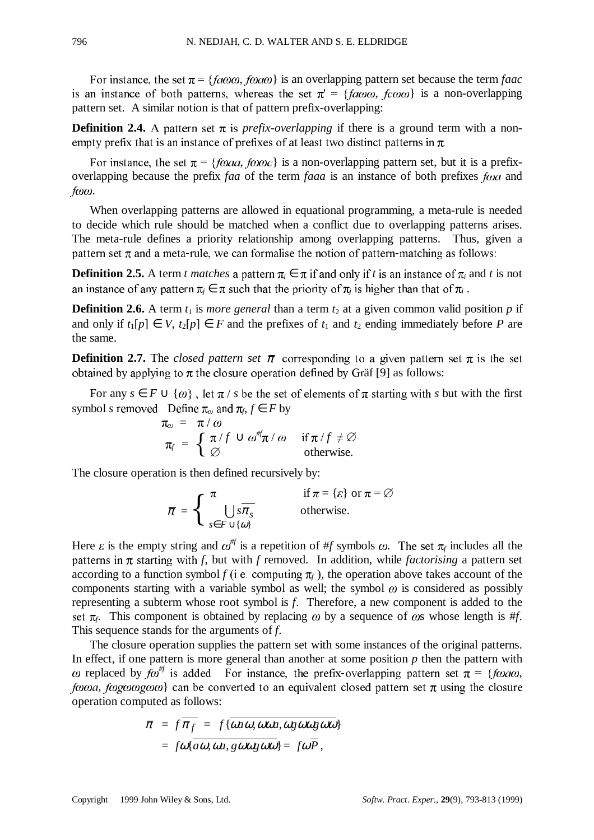For instance, the set  $\pi = \{fa\omega\omega, fa\omega\}$  is an overlapping pattern set because the term *faac* Is an instance of both patterns, whereas the set  $\pi$  and  $\gamma a \omega \omega$ , is an instance of both patterns, whereas the set  $\pi' = \{faw\omega, f\omega\omega\}$  is a non-overlapping

**Definition 2.4.** A pattern set  $\pi$  is *prefix-overlapping* if there is a ground term with a nonempty prefix that is an instance of prefixes of at least two distinct patterns in  $\pi$ .

For instance, the set  $\pi = \{foaa, foaoc\}$  is a non-overlapping pattern set, but it is a prefixoverlapping because the prefix *faa* of the term *faaa* is an instance of both prefixes *foa* and  $f \omega \omega$ .

When overlapping patterns are allowed in equational programming, a meta-rule is needed to decide which rule should be matched when a conflict due to overlapping patterns arises. The meta-rule defines a priority relationship among overlapping patterns. Thus, given a pattern set  $\pi$  and a meta-rule, we can formalise the notion of pattern-matching as follows:

**Definition 2.5.** A term *t matches* a pattern  $\pi_i \in \pi$  if and only if *t* is an instance of  $\pi_i$  and *t* is not an instance of any pattern  $\pi_i \in \pi$  such that the priority of  $\pi_i$  is higher than that of  $\pi_i$ .

**Definition 2.6.** A term  $t_1$  is *more general* than a term  $t_2$  at a given common valid position  $p$  if and only if  $t_1[p] \in V$ ,  $t_2[p] \in F$  and the prefixes of  $t_1$  and  $t_2$  ending immediately before P are the same.

**Definition 2.7.** The *closed pattern set*  $\bar{\pi}$  corresponding to a given pattern set  $\pi$  is the set obtained by applying to  $\pi$  the closure operation defined by Gräf [9] as follows:

For any  $s \in F \cup \{\omega\}$ , let  $\pi/s$  be the set of elements of  $\pi$  starting with s but with the first symbol *s* removed. Define  $\pi_{\omega}$  and  $\pi_{f}, f \in F$  by

$$
\pi_{\omega} = \pi/\omega
$$
  
\n
$$
\pi_{f} = \begin{cases}\n\pi/f \cup \omega^{\#}\pi/\omega & \text{if } \pi/f \neq \varnothing \\
\varnothing & \text{otherwise.} \n\end{cases}
$$

The closure operation is then defined recursively by:

 $\overline{\pi} = \begin{cases} \pi & \text{if } \pi = {\varepsilon} \text{ or } \pi = \varnothing \\ \bigcup_{s \in F + {\varepsilon} \neq 0} s \pi_s & \text{otherwise.} \end{cases}$ ، ••د ∪<br>{@} π *s*∈*F* ∪  $s\pi_s$  otherwise.

Here  $\varepsilon$  is the empty string and  $\omega^{\#}$  is a repetition of #*f* symbols  $\omega$ . The set  $\pi_f$  includes all the patterns in  $\pi$  starting with *f*, but with *f* removed. In addition, while *factorising* a pattern set according to a function symbol *f* (i.e. computing  $\pi_f$ ), the operation above takes account of the components starting with a variable symbol as well; the symbol  $\omega$  is considered as possibly representing a subterm whose root symbol is *f*. Therefore, a new component is added to the set  $\pi_f$ . This component is obtained by replacing  $\omega$  by a sequence of  $\omega$ s whose length is #*f*. This sequence stands for the arguments of *f*.

The closure operation supplies the pattern set with some instances of the original patterns. In effect, if one pattern is more general than another at some position *p* then the pattern with replaced by  $f\omega^{\#f}$  is added. For instance, the prefix-overlapping pattern set  $\pi = {\text{f}}\omega a\omega$ , *forma, forgomagoma*} can be converted to an equivalent closed pattern set  $\pi$  using the closure operation computed as follows:

$$
\overline{\pi} = f \overline{\pi_f} = f \{ \overline{\omega a \omega, \omega \omega a, \omega g \omega \omega g \omega \omega} \}
$$
  
=  $f \omega \{ \overline{a \omega, \omega a, g \omega \omega g \omega \omega} \} = f \omega \overline{P},$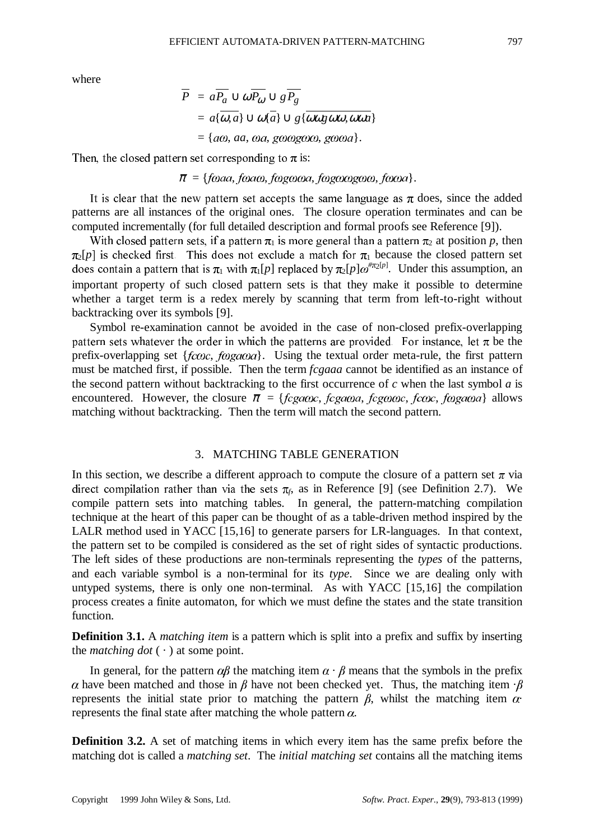where

$$
\overline{P} = a\overline{P_a} \cup \omega \overline{P_\omega} \cup g\overline{P_g}
$$
  
=  $a\{\overline{\omega, a}\} \cup \omega\{\overline{a}\} \cup g\{\overline{\omega\omega g \omega\omega, \omega\omega a}\}$   
=  $\{\overline{a\omega}, a\overline{a}, \omega\overline{a}, g\omega\omega g\omega\omega, g\omega\omega a\}.$ 

Then, the closed pattern set corresponding to  $\pi$  is:

 $\bar{\pi} = \{f \omega aq, f \omega aq, f \omega g \omega \omega q, f \omega g \omega \omega g \omega q, f \omega \omega q\}.$ 

It is clear that the new pattern set accepts the same language as  $\pi$  does, since the added patterns are all instances of the original ones. The closure operation terminates and can be computed incrementally (for full detailed description and formal proofs see Reference [9]).

With closed pattern sets, if a pattern  $\pi_1$  is more general than a pattern  $\pi_2$  at position p, then  $\pi_2[p]$  is checked first. This does not exclude a match for  $\pi_1$  because the closed pattern set does contain a pattern that is  $\pi_1$  with  $\pi_1[p]$  replaced by  $\pi_2[p]\omega^{i\pi_2[p]}$ . Under this assumption, an important property of such closed pattern sets is that they make it possible to determine whether a target term is a redex merely by scanning that term from left-to-right without backtracking over its symbols [9].

Symbol re-examination cannot be avoided in the case of non-closed prefix-overlapping pattern sets whatever the order in which the patterns are provided. For instance, let  $\pi$  be the prefix-overlapping set { $f\cos$ ,  $f\cos\alpha a$ }. Using the textual order meta-rule, the first pattern must be matched first, if possible. Then the term *fcgaaa* cannot be identified as an instance of the second pattern without backtracking to the first occurrence of *c* when the last symbol *a* is encountered. However, the closure  $\bar{\pi}$  = {fcgacoc, fcgacoa, fcgcococ, fcoc, fogacoa} allows matching without backtracking. Then the term will match the second pattern.

## 3. MATCHING TABLE GENERATION

In this section, we describe a different approach to compute the closure of a pattern set  $\pi$  via direct compilation rather than via the sets  $\pi$ <sub>6</sub> as in Reference [9] (see Definition 2.7). We compile pattern sets into matching tables. In general, the pattern-matching compilation technique at the heart of this paper can be thought of as a table-driven method inspired by the LALR method used in YACC [15,16] to generate parsers for LR-languages. In that context, the pattern set to be compiled is considered as the set of right sides of syntactic productions. The left sides of these productions are non-terminals representing the *types* of the patterns, and each variable symbol is a non-terminal for its *type*. Since we are dealing only with untyped systems, there is only one non-terminal. As with YACC [15,16] the compilation process creates a finite automaton, for which we must define the states and the state transition function.

**Definition 3.1.** A *matching item* is a pattern which is split into a prefix and suffix by inserting the *matching dot*  $(\cdot)$  at some point.

In general, for the pattern  $\alpha\beta$  the matching item  $\alpha \cdot \beta$  means that the symbols in the prefix  $\alpha$  have been matched and those in  $\beta$  have not been checked yet. Thus, the matching item  $\beta$ represents the initial state prior to matching the pattern  $\beta$ , whilst the matching item  $\alpha$ . represents the final state after matching the whole pattern  $\alpha$ .

**Definition 3.2.** A set of matching items in which every item has the same prefix before the matching dot is called a *matching set*. The *initial matching set* contains all the matching items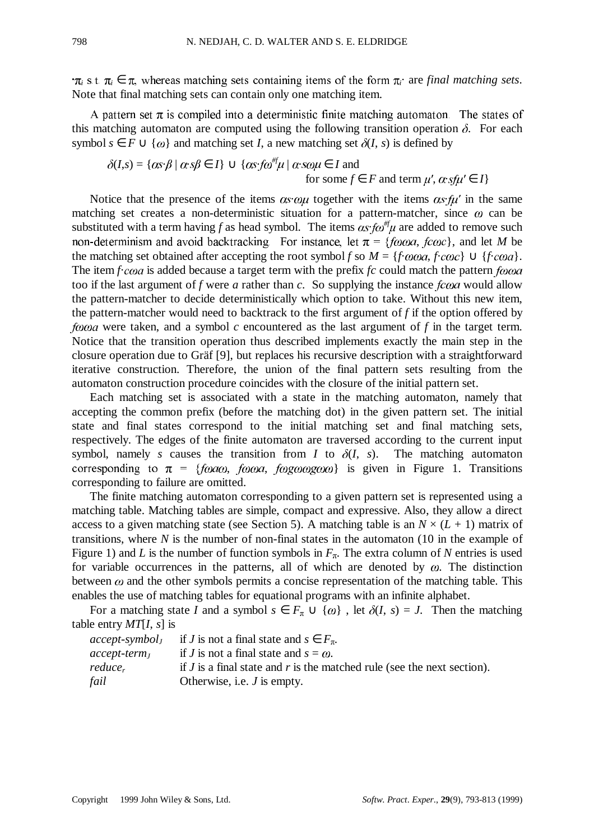$\pi_i$  s.t.  $\pi_i \in \pi$ , whereas matching sets containing items of the form  $\pi_i$ · are *final matching sets*. Note that final matching sets can contain only one matching item.

A pattern set  $\pi$  is compiled into a deterministic finite matching automaton. The states of this matching automaton are computed using the following transition operation  $\delta$ . For each symbol  $s \in F \cup \{\omega\}$  and matching set *I*, a new matching set  $\delta(I, s)$  is defined by

$$
\delta(I,s) = \{ \alpha s \cdot \beta \mid \alpha \cdot s \beta \in I \} \cup \{ \alpha s \cdot f \omega^{\#} \mu \mid \alpha \cdot s \omega \mu \in I \text{ and}
$$
  
for some  $f \in F$  and term  $\mu', \alpha \cdot s \mu' \in I \}$ 

Notice that the presence of the items  $\alpha s \cdot \omega \mu$  together with the items  $\alpha s \cdot \mu'$  in the same matching set creates a non-deterministic situation for a pattern-matcher, since  $\omega$  can be substituted with a term having *f* as head symbol. The items  $\alpha s$  *f* $\omega^{\#} \mu$  are added to remove such non-determinism and avoid backtracking. For instance, let  $\pi = \{f\omega\omega a, f\omega c\}$ , and let *M* be the matching set obtained after accepting the root symbol *f* so  $M = \{f \cdot \omega \omega a, f \cdot \omega c \} \cup \{f \cdot \omega a\}.$ The item  $f \text{-} \cos a$  is added because a target term with the prefix  $f \text{-} \cos a$  match the pattern  $f \text{-} \cos a$ too if the last argument of  $f$  were  $a$  rather than  $c$ . So supplying the instance  $f_{CQ}$  would allow the pattern-matcher to decide deterministically which option to take. Without this new item, the pattern-matcher would need to backtrack to the first argument of *f* if the option offered by *forma* were taken, and a symbol *c* encountered as the last argument of *f* in the target term. Notice that the transition operation thus described implements exactly the main step in the closure operation due to Gräf [9], but replaces his recursive description with a straightforward iterative construction. Therefore, the union of the final pattern sets resulting from the automaton construction procedure coincides with the closure of the initial pattern set.

Each matching set is associated with a state in the matching automaton, namely that accepting the common prefix (before the matching dot) in the given pattern set. The initial state and final states correspond to the initial matching set and final matching sets, respectively. The edges of the finite automaton are traversed according to the current input symbol, namely *s* causes the transition from *I* to  $\delta(I, s)$ . The matching automaton corresponding to  $\pi = {\text{f}}\omega a\omega$ ,  $\omega a$ ,  $\omega b$   $\omega a$ ,  $\omega b$  is given in Figure 1. Transitions corresponding to failure are omitted.

The finite matching automaton corresponding to a given pattern set is represented using a matching table. Matching tables are simple, compact and expressive. Also, they allow a direct access to a given matching state (see Section 5). A matching table is an  $N \times (L + 1)$  matrix of transitions, where *N* is the number of non-final states in the automaton (10 in the example of Figure 1) and *L* is the number of function symbols in  $F_{\pi}$ . The extra column of *N* entries is used for variable occurrences in the patterns, all of which are denoted by  $\omega$ . The distinction between  $\omega$  and the other symbols permits a concise representation of the matching table. This enables the use of matching tables for equational programs with an infinite alphabet.

For a matching state *I* and a symbol  $s \in F_\pi \cup \{\omega\}$ , let  $\delta(I, s) = J$ . Then the matching table entry *MT*[*I*, *s*] is

|                | $accept\text{-}symbolI$ if J is not a final state and $s \in F_{\pi}$ .     |
|----------------|-----------------------------------------------------------------------------|
| $accept-termI$ | if <i>J</i> is not a final state and $s = \omega$ .                         |
| $reduce_r$     | if $J$ is a final state and $r$ is the matched rule (see the next section). |
| fail           | Otherwise, i.e. $J$ is empty.                                               |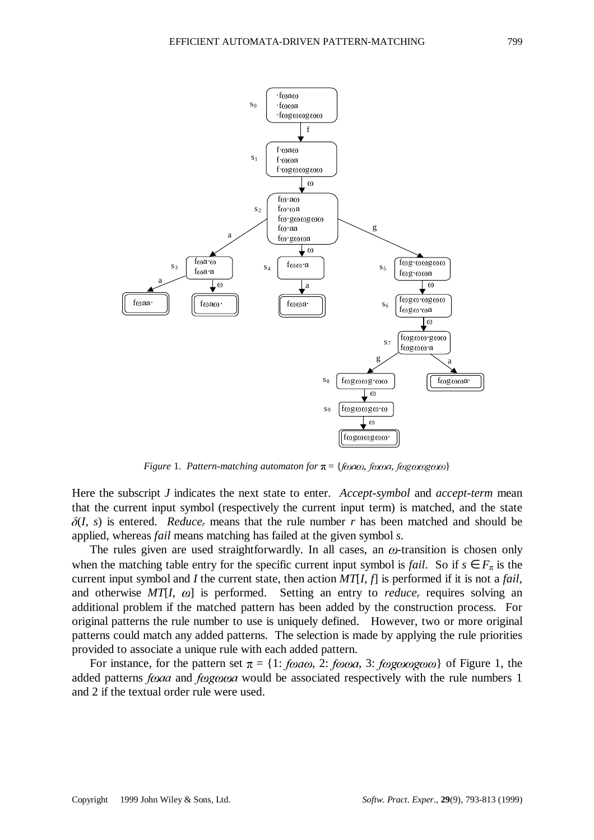

*Figure 1. Pattern-matching automaton for*  $\pi = \{f\omega a\omega, f\omega a\omega, f\omega g\omega a\omega c\omega\}$ 

Here the subscript *J* indicates the next state to enter. *Accept-symbol* and *accept-term* mean that the current input symbol (respectively the current input term) is matched, and the state  $\delta(I, s)$  is entered. *Reduce<sub>r</sub>* means that the rule number *r* has been matched and should be applied, whereas *fail* means matching has failed at the given symbol *s*.

The rules given are used straightforwardly. In all cases, an  $\omega$ -transition is chosen only when the matching table entry for the specific current input symbol is *fail*. So if  $s \in F_\pi$  is the current input symbol and *I* the current state, then action *MT*[*I*, *f*] is performed if it is not a *fail*, and otherwise  $MT[I, \omega]$  is performed. Setting an entry to *reduce<sub>r</sub>* requires solving an additional problem if the matched pattern has been added by the construction process. For original patterns the rule number to use is uniquely defined. However, two or more original patterns could match any added patterns. The selection is made by applying the rule priorities provided to associate a unique rule with each added pattern.

For instance, for the pattern set  $\pi = \{1: \text{foa}\omega, 2: \text{foa}\omega, 3: \text{foa}\omega\omega\}$  of Figure 1, the added patterns  $f<sub>0</sub> a$  and  $f<sub>0</sub> g<sub>0</sub> a$  would be associated respectively with the rule numbers 1 and 2 if the textual order rule were used.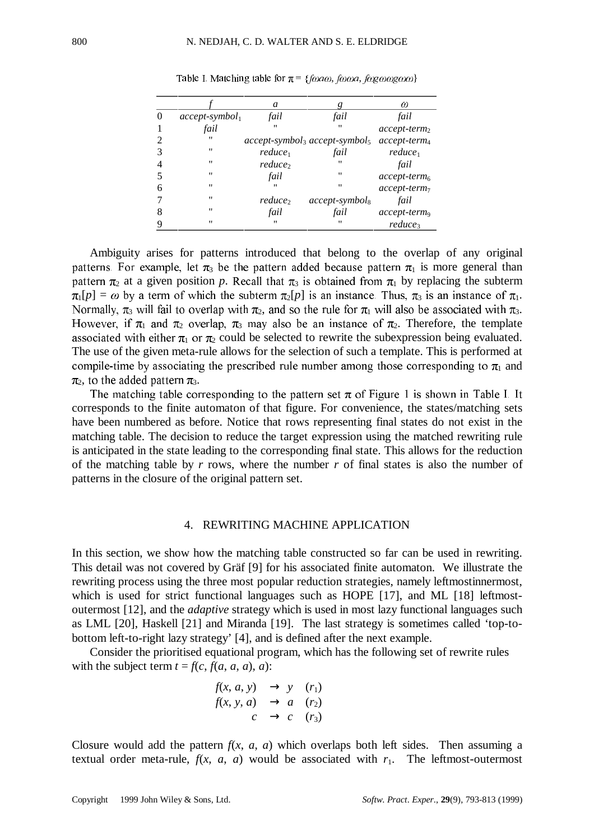|   |                   | a               |                                                                              | ω                        |
|---|-------------------|-----------------|------------------------------------------------------------------------------|--------------------------|
| 0 | $accept-symbol_1$ | fail            | fail                                                                         | fail                     |
|   | fail              |                 |                                                                              | $accept-term2$           |
|   | $^{\prime\prime}$ |                 | $accept\text{-}symbol_3$ accept-symbol <sub>5</sub> accept-term <sub>4</sub> |                          |
|   | "                 | $reduce_1$      | fail                                                                         | $reduce_1$               |
|   | "                 | <i>reduce</i> , |                                                                              | fail                     |
|   | "                 | fail            | "                                                                            | $accept-term6$           |
| 6 | $^{\prime\prime}$ |                 | $^{\prime\prime}$                                                            | $accept-term_7$          |
|   | $^{\prime\prime}$ | <i>reduce</i> , | $accept-symbol_8$                                                            | fail                     |
|   | $^{\prime\prime}$ | fail            | fail                                                                         | accept-term <sub>9</sub> |
| Q | $^{\prime\prime}$ |                 |                                                                              | reduce <sub>3</sub>      |

Table I. Matching table for  $\pi = \{f\omega a\omega, f\omega\omega a, f\omega g\omega\omega g\omega\omega\}$ 

Ambiguity arises for patterns introduced that belong to the overlap of any original patterns. For example, let  $\pi_3$  be the pattern added because pattern  $\pi_1$  is more general than pattern  $\pi_2$  at a given position p. Recall that  $\pi_3$  is obtained from  $\pi_1$  by replacing the subterm  $\pi_1[p] = \omega$  by a term of which the subterm  $\pi_2[p]$  is an instance. Thus,  $\pi_3$  is an instance of  $\pi_1$ . Normally,  $\pi_3$  will fail to overlap with  $\pi_2$ , and so the rule for  $\pi_1$  will also be associated with  $\pi_3$ . However, if  $\pi_1$  and  $\pi_2$  overlap,  $\pi_3$  may also be an instance of  $\pi_2$ . Therefore, the template associated with either  $\pi_1$  or  $\pi_2$  could be selected to rewrite the subexpression being evaluated. The use of the given meta-rule allows for the selection of such a template. This is performed at compile-time by associating the prescribed rule number among those corresponding to  $\pi_1$  and  $\pi$ , to the added pattern  $\pi$ .

The matching table corresponding to the pattern set  $\pi$  of Figure 1 is shown in Table I. It corresponds to the finite automaton of that figure. For convenience, the states/matching sets have been numbered as before. Notice that rows representing final states do not exist in the matching table. The decision to reduce the target expression using the matched rewriting rule is anticipated in the state leading to the corresponding final state. This allows for the reduction of the matching table by *r* rows, where the number *r* of final states is also the number of patterns in the closure of the original pattern set.

# 4. REWRITING MACHINE APPLICATION

In this section, we show how the matching table constructed so far can be used in rewriting. This detail was not covered by Gräf [9] for his associated finite automaton. We illustrate the rewriting process using the three most popular reduction strategies, namely leftmostinnermost, which is used for strict functional languages such as HOPE [17], and ML [18] leftmostoutermost [12], and the *adaptive* strategy which is used in most lazy functional languages such as LML [20], Haskell [21] and Miranda [19]. The last strategy is sometimes called 'top-tobottom left-to-right lazy strategy' [4], and is defined after the next example.

Consider the prioritised equational program, which has the following set of rewrite rules with the subject term  $t = f(c, f(a, a, a), a)$ :

$$
f(x, a, y) \rightarrow y \quad (r_1)
$$
  

$$
f(x, y, a) \rightarrow a \quad (r_2)
$$
  

$$
c \rightarrow c \quad (r_3)
$$

Closure would add the pattern  $f(x, a, a)$  which overlaps both left sides. Then assuming a textual order meta-rule,  $f(x, a, a)$  would be associated with  $r_1$ . The leftmost-outermost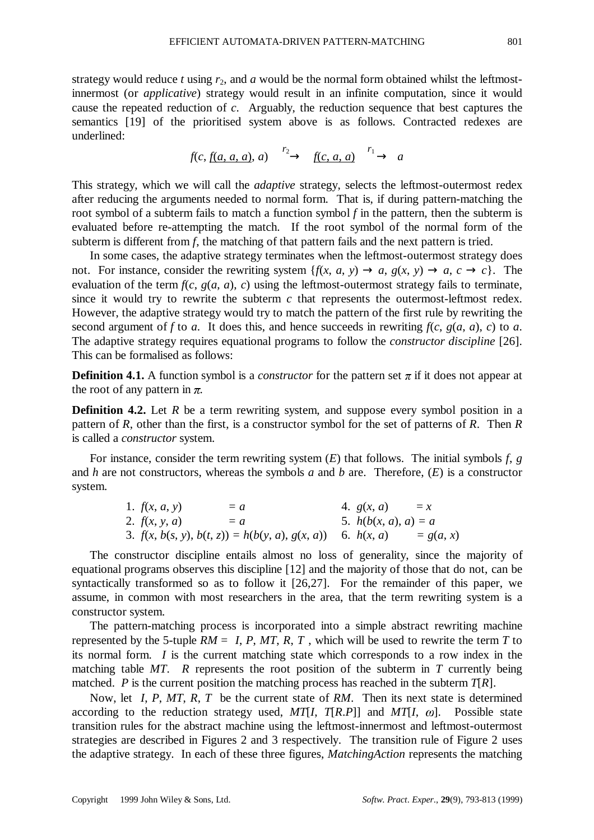strategy would reduce *t* using *r*2, and *a* would be the normal form obtained whilst the leftmostinnermost (or *applicative*) strategy would result in an infinite computation, since it would cause the repeated reduction of *c*. Arguably, the reduction sequence that best captures the semantics [19] of the prioritised system above is as follows. Contracted redexes are underlined:

$$
f(c, \underline{f(a, a, a)}, a) \xrightarrow{r_2} f(c, a, a) \xrightarrow{r_1} a
$$

This strategy, which we will call the *adaptive* strategy, selects the leftmost-outermost redex after reducing the arguments needed to normal form. That is, if during pattern-matching the root symbol of a subterm fails to match a function symbol *f* in the pattern, then the subterm is evaluated before re-attempting the match. If the root symbol of the normal form of the subterm is different from *f*, the matching of that pattern fails and the next pattern is tried.

In some cases, the adaptive strategy terminates when the leftmost-outermost strategy does not. For instance, consider the rewriting system  $\{f(x, a, y) \to a, g(x, y) \to a, c \to c\}$ . The evaluation of the term  $f(c, g(a, a), c)$  using the leftmost-outermost strategy fails to terminate, since it would try to rewrite the subterm *c* that represents the outermost-leftmost redex. However, the adaptive strategy would try to match the pattern of the first rule by rewriting the second argument of *f* to *a*. It does this, and hence succeeds in rewriting  $f(c, g(a, a), c)$  to *a*. The adaptive strategy requires equational programs to follow the *constructor discipline* [26]. This can be formalised as follows:

**Definition 4.1.** A function symbol is a *constructor* for the pattern set  $\pi$  if it does not appear at the root of any pattern in  $\pi$ .

**Definition 4.2.** Let *R* be a term rewriting system, and suppose every symbol position in a pattern of *R*, other than the first, is a constructor symbol for the set of patterns of *R*. Then *R* is called a *constructor* system.

For instance, consider the term rewriting system (*E*) that follows. The initial symbols *f*, *g* and *h* are not constructors, whereas the symbols *a* and *b* are. Therefore, (*E*) is a constructor system.

| 1. $f(x, a, y)$ | $= a$                                                          | 4. $g(x, a)$           | $= x$       |
|-----------------|----------------------------------------------------------------|------------------------|-------------|
| 2. $f(x, y, a)$ | $= a$                                                          | 5. $h(b(x, a), a) = a$ |             |
|                 | 3. $f(x, b(s, y), b(t, z)) = h(b(y, a), g(x, a))$ 6. $h(x, a)$ |                        | $= g(a, x)$ |

The constructor discipline entails almost no loss of generality, since the majority of equational programs observes this discipline [12] and the majority of those that do not, can be syntactically transformed so as to follow it [26,27]. For the remainder of this paper, we assume, in common with most researchers in the area, that the term rewriting system is a constructor system.

The pattern-matching process is incorporated into a simple abstract rewriting machine represented by the 5-tuple  $RM = \langle I, P, MT, R, T \rangle$ , which will be used to rewrite the term *T* to its normal form. *I* is the current matching state which corresponds to a row index in the matching table *MT*. *R* represents the root position of the subterm in *T* currently being matched. *P* is the current position the matching process has reached in the subterm  $T[R]$ .

Now, let  $\langle I, P, MT, R, T \rangle$  be the current state of RM. Then its next state is determined according to the reduction strategy used,  $MT[I, T[R.P]]$  and  $MT[I, \omega]$ . Possible state transition rules for the abstract machine using the leftmost-innermost and leftmost-outermost strategies are described in Figures 2 and 3 respectively. The transition rule of Figure 2 uses the adaptive strategy. In each of these three figures, *MatchingAction* represents the matching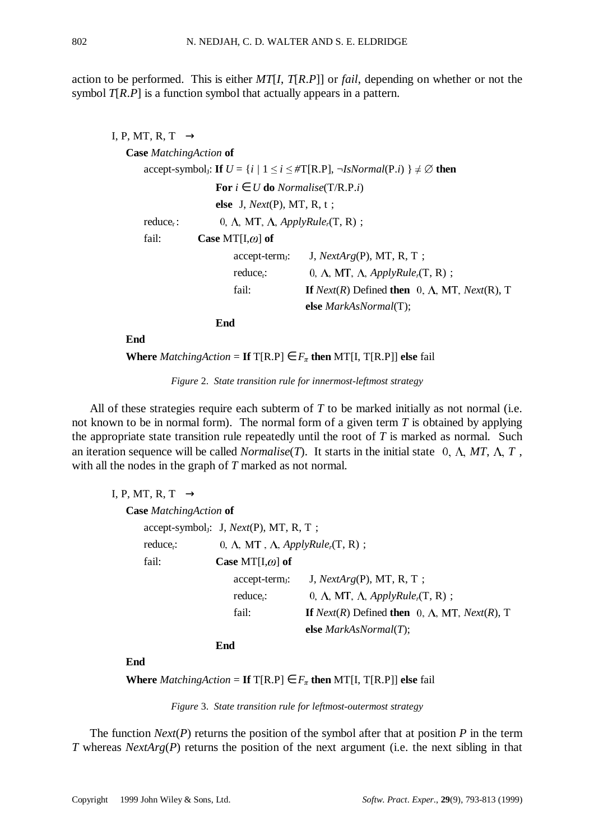action to be performed. This is either *MT*[*I*, *T*[*R*.*P*]] or *fail*, depending on whether or not the symbol *T*[*R*.*P*] is a function symbol that actually appears in a pattern.

| $\langle I, P, MT, R, T \rangle \rightarrow$ |                                                                |                                                                                                               |
|----------------------------------------------|----------------------------------------------------------------|---------------------------------------------------------------------------------------------------------------|
| <b>Case</b> Matching Action of               |                                                                |                                                                                                               |
|                                              |                                                                | accept-symbol <sub>J</sub> : If $U = \{i \mid 1 \le i \le #T[R.P], \neg IsNormal(P.i) \} \neq \emptyset$ then |
|                                              | For $i \in U$ do <i>Normalise</i> (T/R.P. <i>i</i> )           |                                                                                                               |
|                                              | else $\langle J, Next(P), MT, R, t \rangle$ ;                  |                                                                                                               |
| reduce <sub>r</sub> :                        | $\langle 0, \Lambda, MT, \Lambda, Apply Rule_r(T, R) \rangle;$ |                                                                                                               |
| fail:                                        | Case MT[I, $\omega$ ] of                                       |                                                                                                               |
|                                              | $accept-term_1$ :                                              | $\langle J, NextArg(P), MT, R, T \rangle;$                                                                    |
|                                              | reduce <sub>r</sub> :                                          | $\langle 0, \Lambda, MT, \Lambda, Apply Rule_r(T, R) \rangle;$                                                |
|                                              | fail:                                                          | If <i>Next</i> ( <i>R</i> ) Defined then $\langle 0, \Lambda, MT, Next(R), T \rangle$                         |
|                                              |                                                                | else <i>MarkAsNormal</i> (T);                                                                                 |
|                                              | End                                                            |                                                                                                               |

**End**

**Where** *MatchingAction* = **If**  $T[R.P] \in F_{\pi}$  **then** MT[I,  $T[R.P]$ ] **else** fail

*Figure* 2. *State transition rule for innermost-leftmost strategy*

All of these strategies require each subterm of *T* to be marked initially as not normal (i.e. not known to be in normal form). The normal form of a given term *T* is obtained by applying the appropriate state transition rule repeatedly until the root of *T* is marked as normal. Such an iteration sequence will be called *Normalise*(*T*). It starts in the initial state  $\langle 0, \Lambda, MT, \Lambda, T \rangle$ , with all the nodes in the graph of *T* marked as not normal.

| $\langle I, P, MT, R, T \rangle \rightarrow$ |                                                                       |                                                                             |
|----------------------------------------------|-----------------------------------------------------------------------|-----------------------------------------------------------------------------|
| <b>Case</b> Matching Action of               |                                                                       |                                                                             |
|                                              | accept-symbol <sub>J</sub> : $\langle J, Next(P), MT, R, T \rangle$ ; |                                                                             |
| reduce <sub>r</sub> :                        | $\langle 0, \Lambda, MT, \Lambda, Apply Rule_r(T, R) \rangle;$        |                                                                             |
| fail:                                        | Case MT[I, $\omega$ ] of                                              |                                                                             |
|                                              | $accept-term_J$ :                                                     | $\langle J, NextArg(P), MT, R, T \rangle;$                                  |
|                                              | reduce <sub>r</sub> :                                                 | $\langle 0, \Lambda, MT, \Lambda, Apply Rule_r(T, R) \rangle;$              |
|                                              | fail:                                                                 | If <i>Next(R)</i> Defined then $\langle 0, \Lambda, MT, Next(R), T \rangle$ |
|                                              |                                                                       | else $MarkAsNormal(T)$ ;                                                    |
|                                              | End                                                                   |                                                                             |

**End**

**Where** *MatchingAction* = **If**  $T[R.P] \in F_{\pi}$  **then** MT[I,  $T[R.P]]$  **else** fail

*Figure* 3. *State transition rule for leftmost-outermost strategy*

The function *Next*(*P*) returns the position of the symbol after that at position *P* in the term *T* whereas *NextArg*(*P*) returns the position of the next argument (i.e. the next sibling in that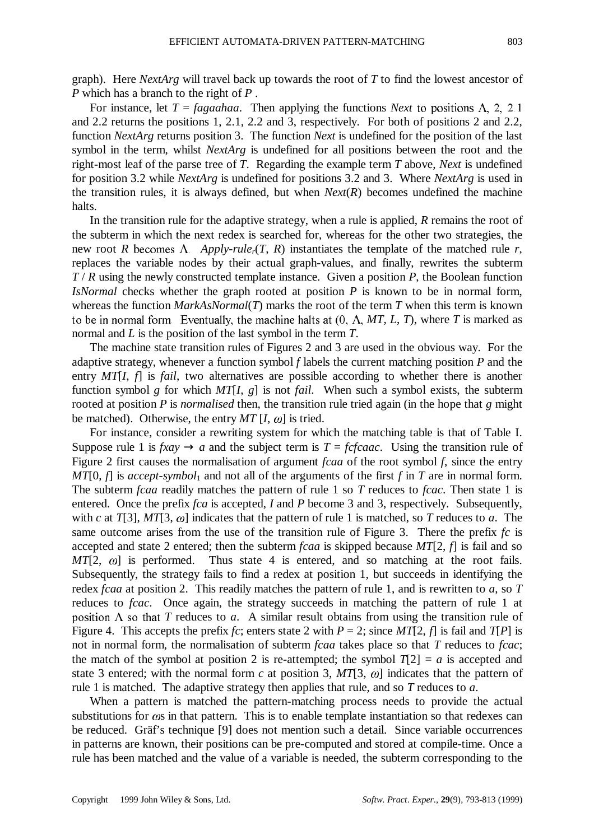graph). Here *NextArg* will travel back up towards the root of *T* to find the lowest ancestor of *P* which has a branch to the right of *P* .

For instance, let  $T = fagaahaa$ . Then applying the functions *Next* to positions  $\Lambda$ , 2, 2, 1 and 2.2 returns the positions 1, 2.1, 2.2 and 3, respectively. For both of positions 2 and 2.2, function *NextArg* returns position 3. The function *Next* is undefined for the position of the last symbol in the term, whilst *NextArg* is undefined for all positions between the root and the right-most leaf of the parse tree of *T*. Regarding the example term *T* above, *Next* is undefined for position 3.2 while *NextArg* is undefined for positions 3.2 and 3. Where *NextArg* is used in the transition rules, it is always defined, but when  $Next(R)$  becomes undefined the machine halts.

In the transition rule for the adaptive strategy, when a rule is applied, *R* remains the root of the subterm in which the next redex is searched for, whereas for the other two strategies, the new root *R* becomes  $\Lambda$ . *Apply-rule<sub>r</sub>*(*T*, *R*) instantiates the template of the matched rule *r*, replaces the variable nodes by their actual graph-values, and finally, rewrites the subterm *T* / *R* using the newly constructed template instance. Given a position *P*, the Boolean function *IsNormal* checks whether the graph rooted at position *P* is known to be in normal form, whereas the function *MarkAsNormal*(*T*) marks the root of the term *T* when this term is known to be in normal form. Eventually, the machine halts at  $(0, \Lambda, MT, L, T)$ , where *T* is marked as normal and *L* is the position of the last symbol in the term *T*.

The machine state transition rules of Figures 2 and 3 are used in the obvious way. For the adaptive strategy, whenever a function symbol *f* labels the current matching position *P* and the entry *MT*[*I*, *f*] is *fail*, two alternatives are possible according to whether there is another function symbol *g* for which *MT*[*I*, *g*] is not *fail*. When such a symbol exists, the subterm rooted at position *P* is *normalised* then, the transition rule tried again (in the hope that *g* might be matched). Otherwise, the entry  $MT[I, \omega]$  is tried.

For instance, consider a rewriting system for which the matching table is that of Table I. Suppose rule 1 is  $f x a y \rightarrow a$  and the subject term is  $T = f c f ca a c$ . Using the transition rule of Figure 2 first causes the normalisation of argument *fcaa* of the root symbol *f*, since the entry *MT*[0,  $f$ ] is *accept-symbol*<sub>1</sub> and not all of the arguments of the first  $f$  in  $T$  are in normal form. The subterm *fcaa* readily matches the pattern of rule 1 so *T* reduces to *fcac*. Then state 1 is entered. Once the prefix *fca* is accepted, *I* and *P* become 3 and 3, respectively. Subsequently, with *c* at  $T[3]$ ,  $MT[3, \omega]$  indicates that the pattern of rule 1 is matched, so *T* reduces to *a*. The same outcome arises from the use of the transition rule of Figure 3. There the prefix *fc* is accepted and state 2 entered; then the subterm *fcaa* is skipped because *MT*[2, *f*] is fail and so  $MT[2, \omega]$  is performed. Thus state 4 is entered, and so matching at the root fails. Subsequently, the strategy fails to find a redex at position 1, but succeeds in identifying the redex *fcaa* at position 2. This readily matches the pattern of rule 1, and is rewritten to *a*, so *T* reduces to *fcac*. Once again, the strategy succeeds in matching the pattern of rule 1 at position  $\Lambda$  so that T reduces to a. A similar result obtains from using the transition rule of Figure 4. This accepts the prefix *fc*; enters state 2 with  $P = 2$ ; since  $MT[2, f]$  is fail and  $T[P]$  is not in normal form, the normalisation of subterm *fcaa* takes place so that *T* reduces to *fcac*; the match of the symbol at position 2 is re-attempted; the symbol  $T[2] = a$  is accepted and state 3 entered; with the normal form *c* at position 3,  $MT[3, \omega]$  indicates that the pattern of rule 1 is matched. The adaptive strategy then applies that rule, and so *T* reduces to *a*.

When a pattern is matched the pattern-matching process needs to provide the actual substitutions for  $\omega$ s in that pattern. This is to enable template instantiation so that redexes can be reduced. Gräf's technique [9] does not mention such a detail. Since variable occurrences in patterns are known, their positions can be pre-computed and stored at compile-time. Once a rule has been matched and the value of a variable is needed, the subterm corresponding to the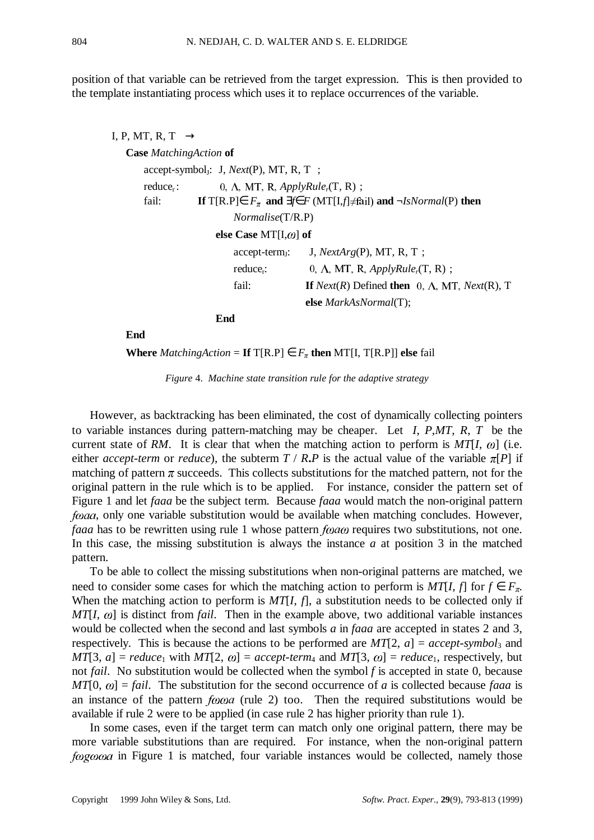position of that variable can be retrieved from the target expression. This is then provided to the template instantiating process which uses it to replace occurrences of the variable.

```
\langle I, P, MT, R, T \rangle \rightarrowCase MatchingAction of
            accept-symbol<sub>I</sub>: \langle J, Next(P), MT, R, T \rangle;
            reduce<sub>r</sub>: \langle 0, \Lambda, MT, R, <i>ApplyRule</i><sub>r</sub>(T, R));<br>fail: If T[R.P] \in F_{\pi} and \exists f \in F (MT[I,f] \neq fa
                              If T[R.P]∈ F_{\pi} and \exists f \in F (MT[I,f]≠fail) and \neg IsNormal(P) then
                                           Normalise(T/R.P)
                                     else Case MT[I,\omega] of
                                           accept-term_i: \langle J, NextArg(P), MT, R, T \rangle;reduce<sub>r</sub>: \langle 0, \Lambda, MT, R, <i>ApplyRule</i><sub>r</sub>(T, R)\rangle;
                                           fail: If Next(R) Defined then \langle 0, \Lambda, MT, Next(R), T \rangleelse MarkAsNormal(T);
                                    End
```
**End**

**Where** *MatchingAction* = **If**  $T[R.P] \in F_{\pi}$  **then** MT[I,  $T[R.P]$ ] **else** fail

*Figure* 4. *Machine state transition rule for the adaptive strategy*

However, as backtracking has been eliminated, the cost of dynamically collecting pointers to variable instances during pattern-matching may be cheaper. Let 〈*I*, *P*,*MT*, *R*, *T*〉 be the current state of RM. It is clear that when the matching action to perform is  $MT[I, \omega]$  (i.e. either *accept-term* or *reduce*), the subterm  $T / R$ **.***P* is the actual value of the variable  $\pi[P]$  if matching of pattern  $\pi$  succeeds. This collects substitutions for the matched pattern, not for the original pattern in the rule which is to be applied. For instance, consider the pattern set of Figure 1 and let *faaa* be the subject term. Because *faaa* would match the non-original pattern *fooda*, only one variable substitution would be available when matching concludes. However, *faaa* has to be rewritten using rule 1 whose pattern *foaco* requires two substitutions, not one. In this case, the missing substitution is always the instance *a* at position 3 in the matched pattern.

To be able to collect the missing substitutions when non-original patterns are matched, we need to consider some cases for which the matching action to perform is *MT*[*I*, *f*] for  $f \in F_\pi$ . When the matching action to perform is *MT*[*I*, *f*], a substitution needs to be collected only if  $MT[I, \omega]$  is distinct from *fail*. Then in the example above, two additional variable instances would be collected when the second and last symbols *a* in *faaa* are accepted in states 2 and 3, respectively. This is because the actions to be performed are  $MT[2, a] = accept-symbols_3$  and  $MT[3, a] = reduce_1$  with  $MT[2, \omega] = accept-term_4$  and  $MT[3, \omega] = reduce_1$ , respectively, but not *fail*.No substitution would be collected when the symbol *f* is accepted in state 0, because  $MT[0, \omega] = \text{fail}$ . The substitution for the second occurrence of *a* is collected because *faaa* is an instance of the pattern  $f\omega\omega a$  (rule 2) too. Then the required substitutions would be available if rule 2 were to be applied (in case rule 2 has higher priority than rule 1).

In some cases, even if the target term can match only one original pattern, there may be more variable substitutions than are required. For instance, when the non-original pattern  $f \omega g \omega \omega a$  in Figure 1 is matched, four variable instances would be collected, namely those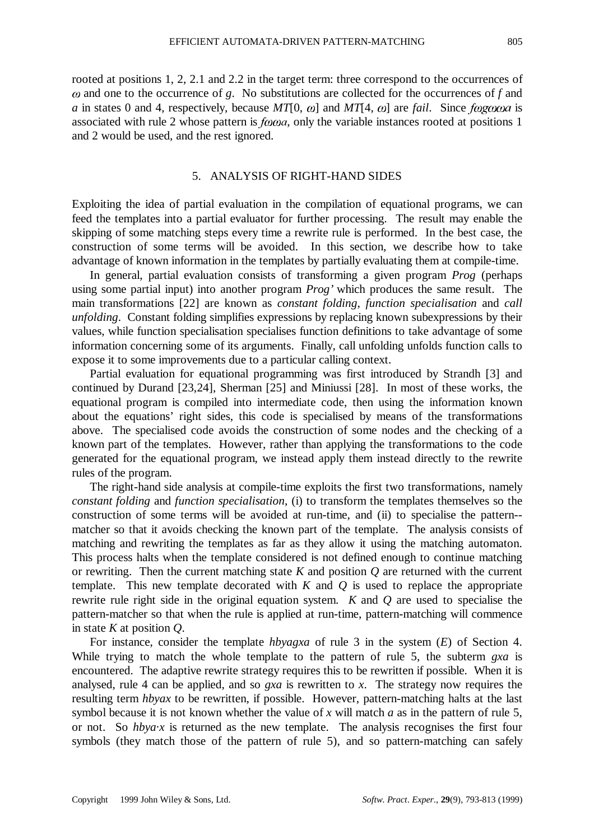and one to the occurrence of *g*.No substitutions are collected for the occurrences of *f* and *a* in states 0 and 4, respectively, because *MT*[0,  $\omega$ ] and *MT*[4,  $\omega$ ] are *fail*. Since *f* $\omega$ *g* $\omega$  $\omega$ *a* is associated with rule 2 whose pattern is  $f<sub>0</sub>$  and  $\alpha$ , only the variable instances rooted at positions 1 and 2 would be used, and the rest ignored.

## 5. ANALYSIS OF RIGHT-HAND SIDES

Exploiting the idea of partial evaluation in the compilation of equational programs, we can feed the templates into a partial evaluator for further processing. The result may enable the skipping of some matching steps every time a rewrite rule is performed. In the best case, the construction of some terms will be avoided. In this section, we describe how to take advantage of known information in the templates by partially evaluating them at compile-time.

In general, partial evaluation consists of transforming a given program *Prog* (perhaps using some partial input) into another program *Prog'* which produces the same result. The main transformations [22] are known as *constant folding*, *function specialisation* and *call unfolding*.Constant folding simplifies expressions by replacing known subexpressions by their values, while function specialisation specialises function definitions to take advantage of some information concerning some of its arguments. Finally, call unfolding unfolds function calls to expose it to some improvements due to a particular calling context.

Partial evaluation for equational programming was first introduced by Strandh [3] and continued by Durand [23,24], Sherman [25] and Miniussi [28]. In most of these works, the equational program is compiled into intermediate code, then using the information known about the equations' right sides, this code is specialised by means of the transformations above. The specialised code avoids the construction of some nodes and the checking of a known part of the templates. However, rather than applying the transformations to the code generated for the equational program, we instead apply them instead directly to the rewrite rules of the program.

The right-hand side analysis at compile-time exploits the first two transformations, namely *constant folding* and *function specialisation*, (i) to transform the templates themselves so the construction of some terms will be avoided at run-time, and (ii) to specialise the pattern- matcher so that it avoids checking the known part of the template. The analysis consists of matching and rewriting the templates as far as they allow it using the matching automaton. This process halts when the template considered is not defined enough to continue matching or rewriting. Then the current matching state *K* and position *Q* are returned with the current template. This new template decorated with *K* and *Q* is used to replace the appropriate rewrite rule right side in the original equation system. *K* and *Q* are used to specialise the pattern-matcher so that when the rule is applied at run-time, pattern-matching will commence in state *K* at position *Q*.

For instance, consider the template *hbyagxa* of rule 3 in the system (*E*) of Section 4. While trying to match the whole template to the pattern of rule 5, the subterm *gxa* is encountered. The adaptive rewrite strategy requires this to be rewritten if possible. When it is analysed, rule 4 can be applied, and so *gxa* is rewritten to *x*. The strategy now requires the resulting term *hbyax* to be rewritten, if possible. However, pattern-matching halts at the last symbol because it is not known whether the value of *x* will match *a* as in the pattern of rule 5, or not. So  $hba\cdot x$  is returned as the new template. The analysis recognises the first four symbols (they match those of the pattern of rule 5), and so pattern-matching can safely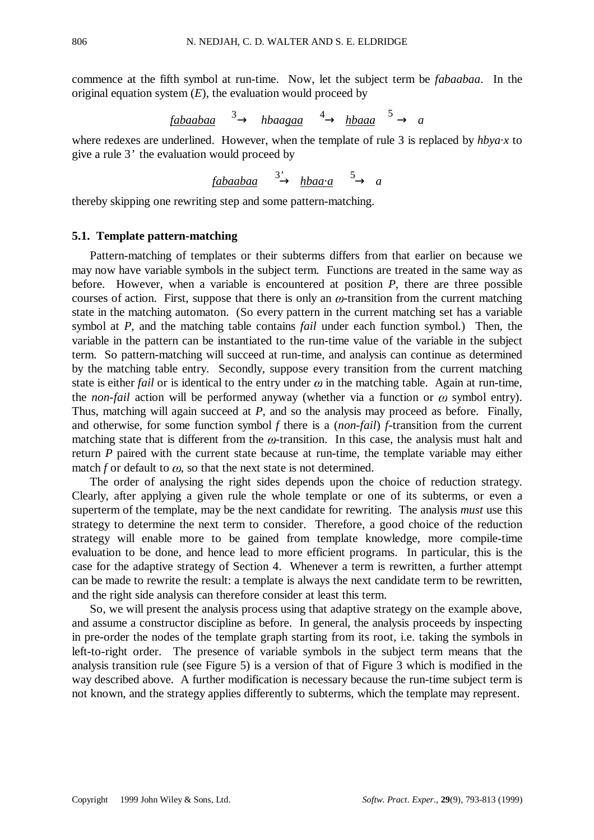commence at the fifth symbol at run-time. Now, let the subject term be *fabaabaa*. In the original equation system  $(E)$ , the evaluation would proceed by

$$
\underline{\text{fabaabaa}} \xrightarrow{3}
$$
 hbaagaa  $\xrightarrow{4}$  hbaaa  $\xrightarrow{5}$  a

where redexes are underlined. However, when the template of rule 3 is replaced by *hbya*·*x* to give a rule 3*'* the evaluation would proceed by

*fabaabaa* → *hbaa*·*a* → *a* 3*'* 5

thereby skipping one rewriting step and some pattern-matching.

# **5.1. Template pattern-matching**

Pattern-matching of templates or their subterms differs from that earlier on because we may now have variable symbols in the subject term. Functions are treated in the same way as before. However, when a variable is encountered at position *P*, there are three possible courses of action. First, suppose that there is only an  $\omega$ -transition from the current matching state in the matching automaton. (So every pattern in the current matching set has a variable symbol at *P*, and the matching table contains *fail* under each function symbol.) Then, the variable in the pattern can be instantiated to the run-time value of the variable in the subject term. So pattern-matching will succeed at run-time, and analysis can continue as determined by the matching table entry. Secondly, suppose every transition from the current matching state is either *fail* or is identical to the entry under  $\omega$  in the matching table. Again at run-time, the *non-fail* action will be performed anyway (whether via a function or  $\omega$  symbol entry). Thus, matching will again succeed at *P*, and so the analysis may proceed as before. Finally, and otherwise, for some function symbol *f* there is a (*non-fail*) *f*-transition from the current matching state that is different from the  $\omega$ -transition. In this case, the analysis must halt and return *P* paired with the current state because at run-time, the template variable may either match *f* or default to  $\omega$ , so that the next state is not determined.

The order of analysing the right sides depends upon the choice of reduction strategy. Clearly, after applying a given rule the whole template or one of its subterms, or even a superterm of the template, may be the next candidate for rewriting. The analysis *must* use this strategy to determine the next term to consider. Therefore, a good choice of the reduction strategy will enable more to be gained from template knowledge, more compile-time evaluation to be done, and hence lead to more efficient programs. In particular, this is the case for the adaptive strategy of Section 4. Whenever a term is rewritten, a further attempt can be made to rewrite the result: a template is always the next candidate term to be rewritten, and the right side analysis can therefore consider at least this term.

So, we will present the analysis process using that adaptive strategy on the example above, and assume a constructor discipline as before. In general, the analysis proceeds by inspecting in pre-order the nodes of the template graph starting from its root, i.e. taking the symbols in left-to-right order. The presence of variable symbols in the subject term means that the analysis transition rule (see Figure 5) is a version of that of Figure 3 which is modified in the way described above. A further modification is necessary because the run-time subject term is not known, and the strategy applies differently to subterms, which the template may represent.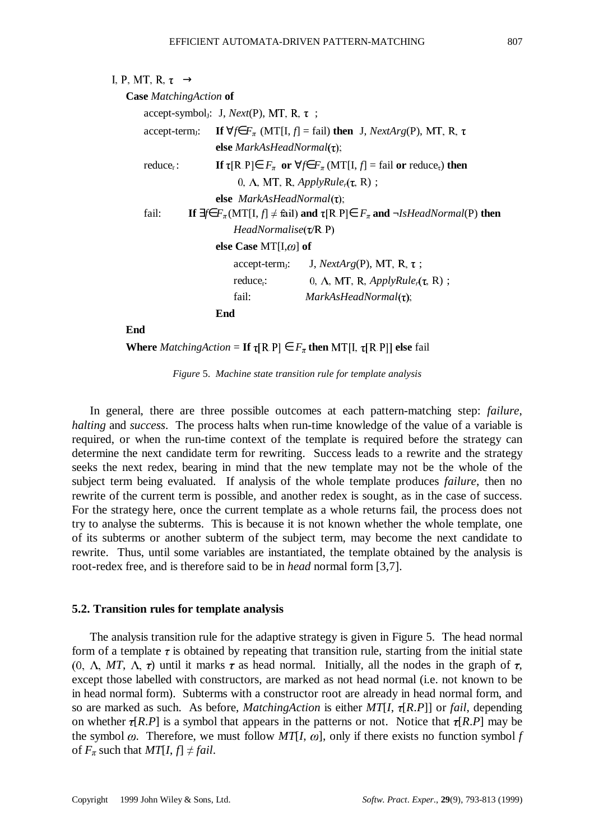| $\langle I, P, MT, R, \tau \rangle \rightarrow$                                   |                                                                          |                                                                                                                                                     |  |  |
|-----------------------------------------------------------------------------------|--------------------------------------------------------------------------|-----------------------------------------------------------------------------------------------------------------------------------------------------|--|--|
| <b>Case</b> Matching Action of                                                    |                                                                          |                                                                                                                                                     |  |  |
|                                                                                   | accept-symbol <sub>I</sub> : $\langle J, Next(P), MT, R, \tau \rangle$ ; |                                                                                                                                                     |  |  |
|                                                                                   |                                                                          | accept-term <sub>J</sub> : If $\forall f \in F_{\pi}$ (MT[I, f] = fail) then $\langle J, NextArg(P), MT, R, \tau \rangle$                           |  |  |
|                                                                                   | else $MarkAsHeadNormal(\tau)$ ;                                          |                                                                                                                                                     |  |  |
| reduce <sub>r</sub> :                                                             |                                                                          | If $\tau[R, P] \in F_{\pi}$ or $\forall f \in F_{\pi} (MT[I, f] = \text{fail or reduce}_{\tau})$ then                                               |  |  |
|                                                                                   |                                                                          | $\langle 0, \Lambda, MT, R, Apply Rule_r(\tau, R) \rangle;$                                                                                         |  |  |
|                                                                                   | else $MarkAsHeadNormal(\tau)$ ;                                          |                                                                                                                                                     |  |  |
| fail:                                                                             |                                                                          | If $\exists f \in F_{\pi}(\text{MT}[I, f] \neq \text{fail})$ and $\tau[\text{R} \cdot \text{P}] \in F_{\pi}$ and $\neg IsHeadNormal(\text{P})$ then |  |  |
|                                                                                   | $HeadNormalise(\tau/R \, P)$                                             |                                                                                                                                                     |  |  |
|                                                                                   | else Case MT[I, $\omega$ ] of                                            |                                                                                                                                                     |  |  |
|                                                                                   |                                                                          | $accept-term_J: \langle J, NextArg(P), MT, R, \tau \rangle;$                                                                                        |  |  |
| $\langle 0, \Lambda, MT, R, ApplyRuler(\tau, R)\rangle;$<br>reduce <sub>r</sub> : |                                                                          |                                                                                                                                                     |  |  |
| fail:<br>$MarkAsHeadNormal(\tau);$                                                |                                                                          |                                                                                                                                                     |  |  |
|                                                                                   | End                                                                      |                                                                                                                                                     |  |  |

**End**

**Where** *MatchingAction* = **If**  $\tau[R.P] \in F_{\pi}$  **then** MT[I,  $\tau[R.P]]$  **else** fail

*Figure* 5. *Machine state transition rule for template analysis*

In general, there are three possible outcomes at each pattern-matching step: *failure*, *halting* and *success*. The process halts when run-time knowledge of the value of a variable is required, or when the run-time context of the template is required before the strategy can determine the next candidate term for rewriting. Success leads to a rewrite and the strategy seeks the next redex, bearing in mind that the new template may not be the whole of the subject term being evaluated. If analysis of the whole template produces *failure*, then no rewrite of the current term is possible, and another redex is sought, as in the case of success. For the strategy here, once the current template as a whole returns fail, the process does not try to analyse the subterms. This is because it is not known whether the whole template, one of its subterms or another subterm of the subject term, may become the next candidate to rewrite. Thus, until some variables are instantiated, the template obtained by the analysis is root-redex free, and is therefore said to be in *head* normal form [3,7].

## **5.2. Transition rules for template analysis**

The analysis transition rule for the adaptive strategy is given in Figure 5. The head normal form of a template  $\tau$  is obtained by repeating that transition rule, starting from the initial state  $(0, \Lambda, MT, \Lambda, \tau)$  until it marks  $\tau$  as head normal. Initially, all the nodes in the graph of  $\tau$ , except those labelled with constructors, are marked as not head normal (i.e. not known to be in head normal form). Subterms with a constructor root are already in head normal form, and so are marked as such. As before, *MatchingAction* is either  $MT[I, \tau[R.P]]$  or *fail*, depending on whether  $\tau[R.P]$  is a symbol that appears in the patterns or not. Notice that  $\tau[R.P]$  may be the symbol  $\omega$ . Therefore, we must follow  $MT[I, \omega]$ , only if there exists no function symbol *f* of  $F_{\pi}$  such that  $MT[I, f] \neq fail$ .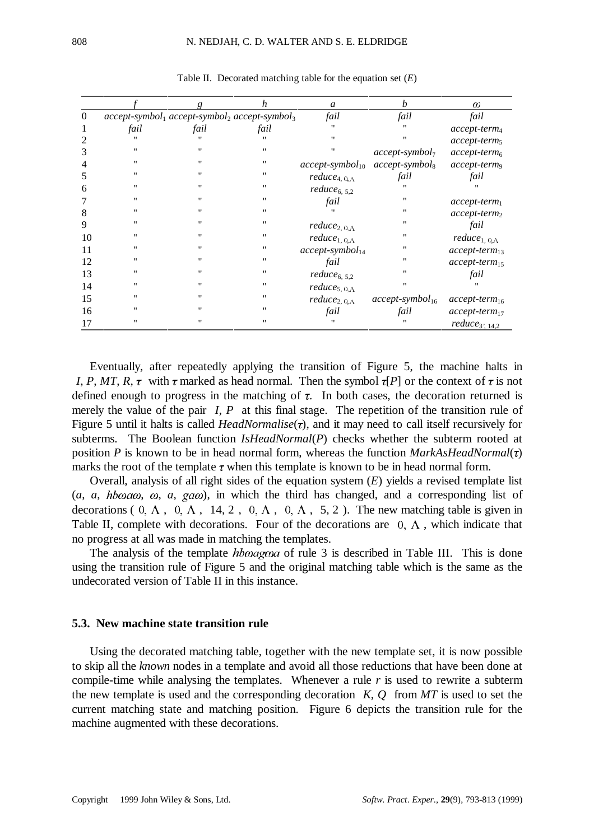|          |                   |                   | h                                                                          | a                                                           | b                    | $\omega$                              |
|----------|-------------------|-------------------|----------------------------------------------------------------------------|-------------------------------------------------------------|----------------------|---------------------------------------|
| $\theta$ |                   |                   | $accept\text{-}symbol_1$ $accept\text{-}symbol_2$ $accept\text{-}symbol_3$ | fail                                                        | fail                 | fail                                  |
|          | fail              | fail              | fail                                                                       | $\mathbf{H}$                                                | 11                   | $accept-term_4$                       |
|          | $^{\prime\prime}$ | $^{\prime\prime}$ | 11                                                                         | $^{\prime\prime}$                                           | $^{\prime\prime}$    | $accept-term5$                        |
| 3        | $^{\prime\prime}$ | "                 | 11                                                                         | $^{\prime\prime}$                                           | $accept-symbol_7$    | $accept-term6$                        |
| 4        | $\mathbf{H}$      | "                 | 11                                                                         | $accept-symbol_{10}$                                        | $accept-symbol_8$    | accept-term <sub>9</sub>              |
| 5        | $^{\prime\prime}$ | $^{\prime\prime}$ | 11                                                                         | $reduce_{4,\langle 0,\Lambda\rangle}$                       | fail                 | fail                                  |
| 6        | 11                | "                 | 11                                                                         | $reduce_{6,\langle 5,2\rangle}$                             | "                    |                                       |
|          | ,,                | $^{\prime\prime}$ | 11                                                                         | fail                                                        | $^{\prime\prime}$    | $accept-term_1$                       |
| 8        | ,,                | "                 | 11                                                                         |                                                             | $^{\prime\prime}$    | $accept-term_2$                       |
| 9        | 11                | "                 | 11                                                                         | reduce <sub>2,<math>\langle 0, \Lambda \rangle</math></sub> | 11                   | fail                                  |
| 10       | 11                | "                 | 11                                                                         | $reduce_{1,\langle 0,\Lambda\rangle}$                       | 11                   | $reduce_{1,\langle 0,\Lambda\rangle}$ |
| 11       | $^{\prime\prime}$ | "                 | 11                                                                         | $accept\text{-}symbol_{14}$                                 | 11                   | $accept-term_{13}$                    |
| 12       | $^{\prime\prime}$ | "                 | 11                                                                         | fail                                                        | $^{\prime\prime}$    | $accept-term_{15}$                    |
| 13       | ,,                | "                 | 11                                                                         | $reduce_{6,\langle 5,2\rangle}$                             | $^{\prime\prime}$    | fail                                  |
| 14       | ,,                | "                 | 11                                                                         | $reduce_{5,\langle 0,\Lambda\rangle}$                       | $^{\prime\prime}$    | "                                     |
| 15       | $^{\prime\prime}$ | "                 | 11                                                                         | $reduce_{2,\langle 0,\Lambda\rangle}$                       | $accept-symbol_{16}$ | $accept-term_{16}$                    |
| 16       | 11                | "                 | 11                                                                         | fail                                                        | fail                 | $accept-term_{17}$                    |
| 17       | ,,                | "                 | 11                                                                         | ,,                                                          | ,,                   | $reduce_{3;\langle14,2\rangle}$       |

Table II. Decorated matching table for the equation set (*E*)

Eventually, after repeatedly applying the transition of Figure 5, the machine halts in  $\langle I, P, MT, R, \tau \rangle$  with  $\tau$  marked as head normal. Then the symbol  $\tau[P]$  or the context of  $\tau$  is not defined enough to progress in the matching of  $\tau$ . In both cases, the decoration returned is merely the value of the pair  $\langle I, P \rangle$  at this final stage. The repetition of the transition rule of Figure 5 until it halts is called *HeadNormalise(* $\tau$ *)*, and it may need to call itself recursively for subterms. The Boolean function *IsHeadNormal*(*P*) checks whether the subterm rooted at position *P* is known to be in head normal form, whereas the function *MarkAsHeadNormal*( $\tau$ ) marks the root of the template  $\tau$  when this template is known to be in head normal form.

Overall, analysis of all right sides of the equation system (*E*) yields a revised template list  $(a, a, h \cdot b \cdot a \cdot a, g \cdot a \cdot b \cdot b)$ , in which the third has changed, and a corresponding list of decorations ( $\langle 0, \Lambda \rangle$ ,  $\langle 0, \Lambda \rangle$ ,  $\langle 14, 2 \rangle$ ,  $\langle 0, \Lambda \rangle$ ,  $\langle 0, \Lambda \rangle$ ,  $\langle 5, 2 \rangle$ ). The new matching table is given in Table II, complete with decorations. Four of the decorations are  $\langle 0, \Lambda \rangle$ , which indicate that no progress at all was made in matching the templates.

The analysis of the template  $hbaag\omega a$  of rule 3 is described in Table III. This is done using the transition rule of Figure 5 and the original matching table which is the same as the undecorated version of Table II in this instance.

# **5.3. New machine state transition rule**

Using the decorated matching table, together with the new template set, it is now possible to skip all the *known* nodes in a template and avoid all those reductions that have been done at compile-time while analysing the templates. Whenever a rule *r* is used to rewrite a subterm the new template is used and the corresponding decoration  $\langle K, O \rangle$  from MT is used to set the current matching state and matching position. Figure 6 depicts the transition rule for the machine augmented with these decorations.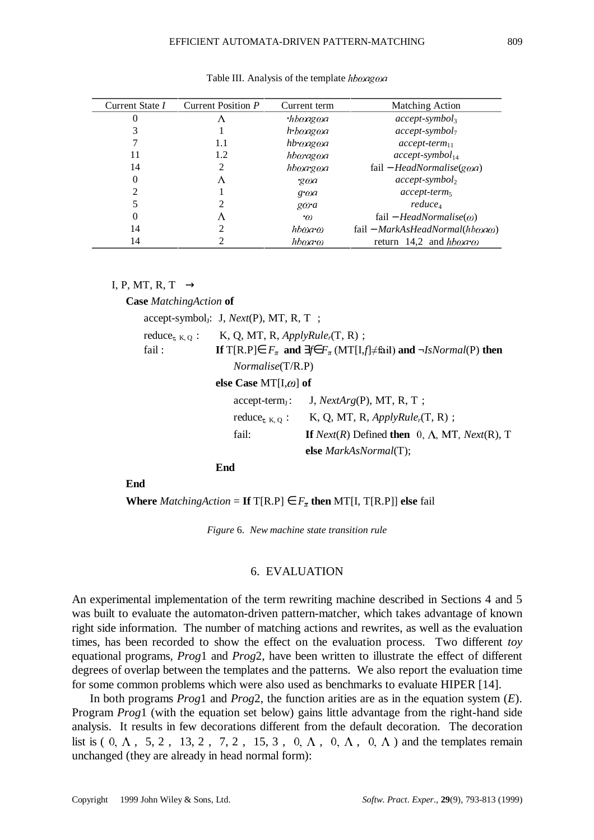| Current State I | Current Position P | Current term                      | <b>Matching Action</b>                                   |
|-----------------|--------------------|-----------------------------------|----------------------------------------------------------|
|                 |                    | $\cdot$ hb $\omega$ ag $\omega$ a | $accept-symbol_3$                                        |
|                 |                    | h•bwagwa                          | $accept-symbol_7$                                        |
|                 | 1.1                | hb•wagwa                          | $accept-term_{11}$                                       |
| 11              | 1.2                | hboragoa                          | $accept-symbol_{14}$                                     |
| 14              | 2                  | hboargoa                          | $fail - HeadNormalise(goa)$                              |
| 0               | Δ                  | ·gwa                              | $accept-symbol_2$                                        |
| $\overline{2}$  |                    | $g \cdot \omega a$                | $accept-term$                                            |
|                 |                    | $g\omega a$                       | reduce <sub>4</sub>                                      |
| 0               | Λ                  | $\cdot$ $\alpha$                  | fail – <i>HeadNormalise</i> ( $\omega$ )                 |
| 14              |                    | hbma•m                            | $fail - MarkAsHeadNormal(hb\omega a\omega)$              |
| 14              |                    | hbaa <sup>o</sup>                 | return $\langle 14,2 \rangle$ and $h \rightarrow \infty$ |

Table III. Analysis of the template  $hb\omega a\alpha$ 

 $\langle I, P, MT, R, T \rangle \rightarrow$ 

**Case** *MatchingAction* **of**

|        | $accept-symbol_j: \langle J, Next(P), MT, R, T \rangle;$                                       |                                                                                                         |
|--------|------------------------------------------------------------------------------------------------|---------------------------------------------------------------------------------------------------------|
|        | reduce <sub><math>\tau</math>(K, Q)</sub> : $\langle K, Q, MT, R, Apply Rule_r(T, R) \rangle;$ |                                                                                                         |
| fail : |                                                                                                | If T[R.P] $\in$ $F_{\pi}$ and $\exists f \in F_{\pi}$ (MT[I,f] $\neq$ fail) and $\neg IsNormal(P)$ then |
|        | $\textit{Normalise}(T/R.P)$                                                                    |                                                                                                         |
|        | else Case MT[I, $\omega$ ] of                                                                  |                                                                                                         |
|        |                                                                                                | $accept-term_J: \langle J, NextArg(P), MT, R, T \rangle;$                                               |
|        |                                                                                                | reduce <sub><math>\tau</math>(K, Q)</sub> : $\langle K, Q, MT, R, Apply Rule_r(T, R) \rangle;$          |
|        | fail:                                                                                          | If Next(R) Defined then $\langle 0, \Lambda, MT, Next(R), T \rangle$                                    |
|        |                                                                                                | else MarkAsNormal(T);                                                                                   |
|        |                                                                                                |                                                                                                         |

**End**

**End**

**Where** *MatchingAction* = **If**  $T[R.P] \in F_{\pi}$  **then** MT[I,  $T[R.P]]$  **else** fail

*Figure* 6. *New machine state transition rule*

### 6. EVALUATION

An experimental implementation of the term rewriting machine described in Sections 4 and 5 was built to evaluate the automaton-driven pattern-matcher, which takes advantage of known right side information. The number of matching actions and rewrites, as well as the evaluation times, has been recorded to show the effect on the evaluation process. Two different *toy* equational programs, *Prog*1 and *Prog*2, have been written to illustrate the effect of different degrees of overlap between the templates and the patterns. We also report the evaluation time for some common problems which were also used as benchmarks to evaluate HIPER [14].

In both programs *Prog*1 and *Prog*2, the function arities are as in the equation system (*E*). Program *Prog*1 (with the equation set below) gains little advantage from the right-hand side analysis. It results in few decorations different from the default decoration. The decoration list is  $(\langle 0, \Lambda \rangle, \langle 5, 2 \rangle, \langle 13, 2 \rangle, \langle 7, 2 \rangle, \langle 15, 3 \rangle, \langle 0, \Lambda \rangle, \langle 0, \Lambda \rangle, \langle 0, \Lambda \rangle)$  and the templates remain unchanged (they are already in head normal form):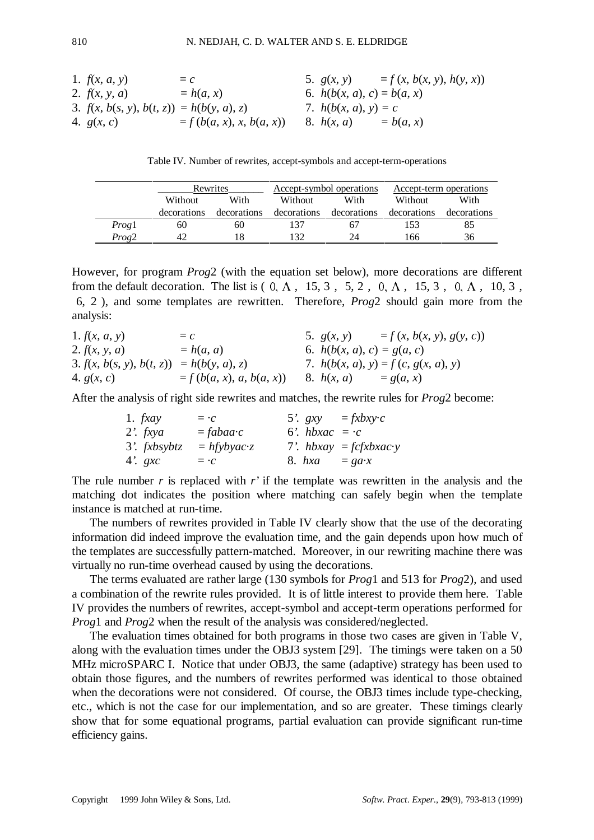| 1. $f(x, a, y)$                             | = c                        | 5. $g(x, y)$                 | = $f(x, b(x, y), h(y, x))$ |
|---------------------------------------------|----------------------------|------------------------------|----------------------------|
| 2. $f(x, y, a)$                             | = $h(a, x)$                | 6. $h(b(x, a), c) = b(a, x)$ |                            |
| 3. $f(x, b(s, y), b(t, z)) = h(b(y, a), z)$ | 7. $h(b(x, a), y) = c$     |                              |                            |
| 4. $g(x, c)$                                | = $f(b(a, x), x, b(a, x))$ | 8. $h(x, a)$                 | = $b(a, x)$                |

Table IV. Number of rewrites, accept-symbols and accept-term-operations

|                   | Rewrites    |             | Accept-symbol operations |             | Accept-term operations |             |
|-------------------|-------------|-------------|--------------------------|-------------|------------------------|-------------|
|                   | Without     | With        | With<br>Without          |             | Without                | With        |
|                   | decorations | decorations | decorations              | decorations | decorations            | decorations |
| Progl             | 60          | 60          | 137                      | 67          | 153                    | 85          |
| Prog <sub>2</sub> | 42          |             | 132                      | 24          | 166                    | 36          |

However, for program *Prog*2 (with the equation set below), more decorations are different from the default decoration. The list is  $(\langle 0, \Lambda \rangle, \langle 15, 3 \rangle, \langle 5, 2 \rangle, \langle 0, \Lambda \rangle, \langle 15, 3 \rangle, \langle 0, \Lambda \rangle, \langle 10, 3 \rangle,$ 〈6, 2〉), and some templates are rewritten. Therefore, *Prog*2 should gain more from the analysis:

| 1. $f(x, a, y)$                             | $= c$                       | 5. $g(x, y)$                 | $= f(x, b(x, y), g(y, c))$            |
|---------------------------------------------|-----------------------------|------------------------------|---------------------------------------|
| 2. $f(x, y, a)$                             | $= h(a, a)$                 | 6. $h(b(x, a), c) = g(a, c)$ |                                       |
| 3. $f(x, b(s, y), b(t, z)) = h(b(y, a), z)$ |                             |                              | 7. $h(b(x, a), y) = f(c, g(x, a), y)$ |
| 4. $g(x, c)$                                | $= f (b(a, x), a, b(a, x))$ | 8. $h(x, a)$                 | $= g(a, x)$                           |

After the analysis of right side rewrites and matches, the rewrite rules for *Prog*2 become:

| 1. $f x a y$   | $= \cdot c$   | 5'. $gxy = fxbxy \cdot c$ |                                     |
|----------------|---------------|---------------------------|-------------------------------------|
| 2'. $fxyz$     | $= fabaac$    | 6'. $hbxac = c$           |                                     |
| $3'.$ fxbsybtz | $= hfybyac-z$ |                           | 7'. $h b x a y = f c f x b x a c y$ |
| 4'. $gxc$      | $= \cdot c$   | 8. $hxa = ga \cdot x$     |                                     |

The rule number *r* is replaced with *r'* if the template was rewritten in the analysis and the matching dot indicates the position where matching can safely begin when the template instance is matched at run-time.

The numbers of rewrites provided in Table IV clearly show that the use of the decorating information did indeed improve the evaluation time, and the gain depends upon how much of the templates are successfully pattern-matched. Moreover, in our rewriting machine there was virtually no run-time overhead caused by using the decorations.

The terms evaluated are rather large (130 symbols for *Prog*1 and 513 for *Prog*2), and used a combination of the rewrite rules provided. It is of little interest to provide them here. Table IV provides the numbers of rewrites, accept-symbol and accept-term operations performed for *Prog*1 and *Prog*2 when the result of the analysis was considered/neglected.

The evaluation times obtained for both programs in those two cases are given in Table V, along with the evaluation times under the OBJ3 system [29]. The timings were taken on a 50 MHz microSPARC I. Notice that under OBJ3, the same (adaptive) strategy has been used to obtain those figures, and the numbers of rewrites performed was identical to those obtained when the decorations were not considered. Of course, the OBJ3 times include type-checking, etc., which is not the case for our implementation, and so are greater. These timings clearly show that for some equational programs, partial evaluation can provide significant run-time efficiency gains.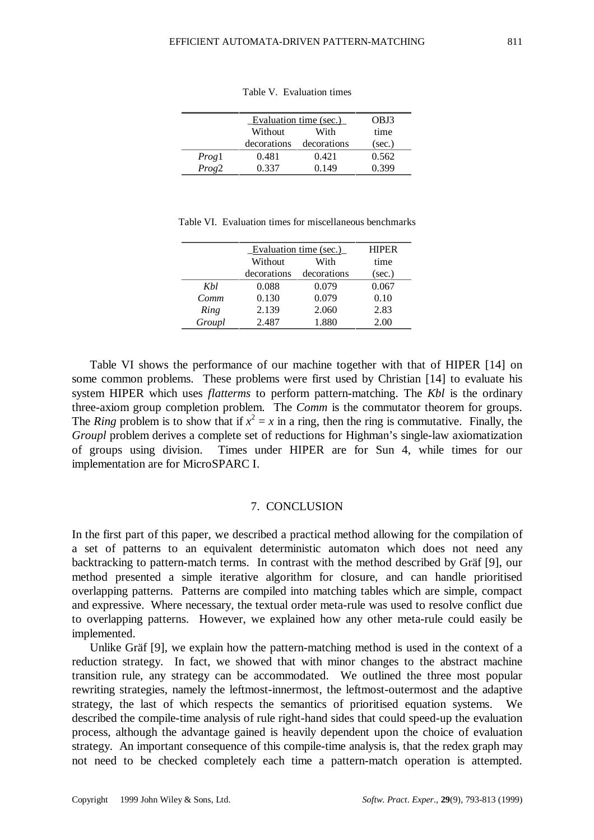|       | Evaluation time (sec.) |             | OBJ3   |
|-------|------------------------|-------------|--------|
|       | Without                | With        | time   |
|       | decorations            | decorations | (sec.) |
| Progl | 0.481                  | 0.421       | 0.562  |
| Prog2 | 0.337                  | 0.149       | 0.399  |

Table V. Evaluation times

|  |  |  |  | Table VI. Evaluation times for miscellaneous benchmarks |  |
|--|--|--|--|---------------------------------------------------------|--|
|--|--|--|--|---------------------------------------------------------|--|

|        | Evaluation time (sec.) | <b>HIPER</b> |        |
|--------|------------------------|--------------|--------|
|        | Without                | With         | time   |
|        | decorations            | decorations  | (sec.) |
| Khl    | 0.088                  | 0.079        | 0.067  |
| Comm   | 0.130                  | 0.079        | 0.10   |
| Ring   | 2.139                  | 2.060        | 2.83   |
| Groupl | 2.487                  | 1.880        | 2.00   |

Table VI shows the performance of our machine together with that of HIPER [14] on some common problems. These problems were first used by Christian [14] to evaluate his system HIPER which uses *flatterms* to perform pattern-matching. The *Kbl* is the ordinary three-axiom group completion problem. The *Comm* is the commutator theorem for groups. The *Ring* problem is to show that if  $x^2 = x$  in a ring, then the ring is commutative. Finally, the *Groupl* problem derives a complete set of reductions for Highman's single-law axiomatization of groups using division. Times under HIPER are for Sun 4, while times for our implementation are for MicroSPARC I.

## 7. CONCLUSION

In the first part of this paper, we described a practical method allowing for the compilation of a set of patterns to an equivalent deterministic automaton which does not need any backtracking to pattern-match terms. In contrast with the method described by Gräf [9], our method presented a simple iterative algorithm for closure, and can handle prioritised overlapping patterns. Patterns are compiled into matching tables which are simple, compact and expressive. Where necessary, the textual order meta-rule was used to resolve conflict due to overlapping patterns. However, we explained how any other meta-rule could easily be implemented.

Unlike Gräf [9], we explain how the pattern-matching method is used in the context of a reduction strategy. In fact, we showed that with minor changes to the abstract machine transition rule, any strategy can be accommodated. We outlined the three most popular rewriting strategies, namely the leftmost-innermost, the leftmost-outermost and the adaptive strategy, the last of which respects the semantics of prioritised equation systems. We described the compile-time analysis of rule right-hand sides that could speed-up the evaluation process, although the advantage gained is heavily dependent upon the choice of evaluation strategy. An important consequence of this compile-time analysis is, that the redex graph may not need to be checked completely each time a pattern-match operation is attempted.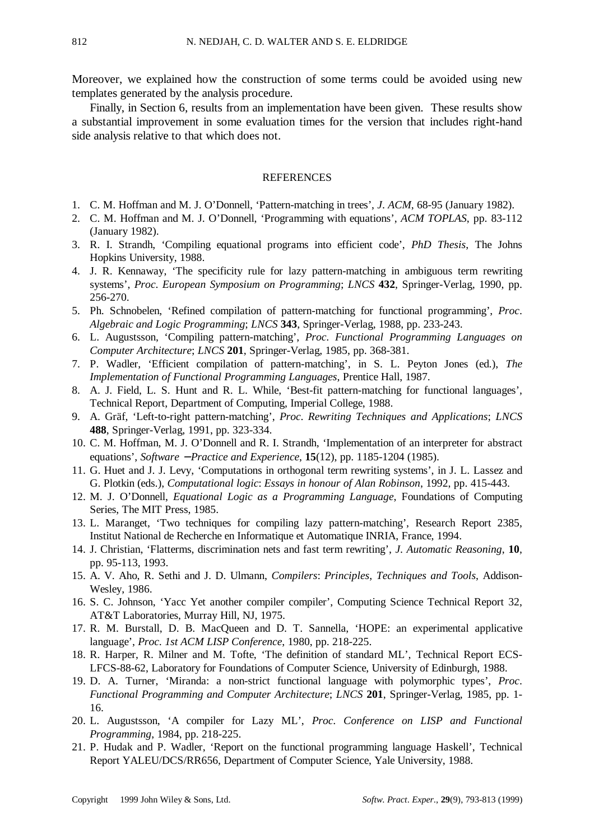Moreover, we explained how the construction of some terms could be avoided using new templates generated by the analysis procedure.

Finally, in Section 6, results from an implementation have been given. These results show a substantial improvement in some evaluation times for the version that includes right-hand side analysis relative to that which does not.

### REFERENCES

- 1. C. M. Hoffman and M. J. O'Donnell, 'Pattern-matching in trees', *J*. *ACM*, 68-95 (January 1982).
- 2. C. M. Hoffman and M. J. O'Donnell, 'Programming with equations', *ACM TOPLAS*, pp. 83-112 (January 1982).
- 3. R. I. Strandh, 'Compiling equational programs into efficient code', *PhD Thesis*, The Johns Hopkins University, 1988.
- 4. J. R. Kennaway, 'The specificity rule for lazy pattern-matching in ambiguous term rewriting systems', *Proc*. *European Symposium on Programming*; *LNCS* **432**, Springer-Verlag, 1990, pp. 256-270.
- 5. Ph. Schnobelen, 'Refined compilation of pattern-matching for functional programming', *Proc*. *Algebraic and Logic Programming*; *LNCS* **343**, Springer-Verlag, 1988, pp. 233-243.
- 6. L. Augustsson, 'Compiling pattern-matching', *Proc*. *Functional Programming Languages on Computer Architecture*; *LNCS* **201**, Springer-Verlag, 1985, pp. 368-381.
- 7. P. Wadler, 'Efficient compilation of pattern-matching', in S. L. Peyton Jones (ed.), *The Implementation of Functional Programming Languages*, Prentice Hall, 1987.
- 8. A. J. Field, L. S. Hunt and R. L. While, 'Best-fit pattern-matching for functional languages', Technical Report, Department of Computing, Imperial College, 1988.
- 9. A. Gräf, 'Left-to-right pattern-matching', *Proc*. *Rewriting Techniques and Applications*; *LNCS* **488**, Springer-Verlag, 1991, pp. 323-334.
- 10. C. M. Hoffman, M. J. O'Donnell and R. I. Strandh, 'Implementation of an interpreter for abstract equations', *Software* − *Practice and Experience*, **15**(12), pp. 1185-1204 (1985).
- 11. G. Huet and J. J. Levy, 'Computations in orthogonal term rewriting systems', in J. L. Lassez and G. Plotkin (eds.), *Computational logic*: *Essays in honour of Alan Robinson*, 1992, pp. 415-443.
- 12. M. J. O'Donnell, *Equational Logic as a Programming Language*, Foundations of Computing Series, The MIT Press, 1985.
- 13. L. Maranget, 'Two techniques for compiling lazy pattern-matching', Research Report 2385, Institut National de Recherche en Informatique et Automatique INRIA, France, 1994.
- 14. J. Christian, 'Flatterms, discrimination nets and fast term rewriting', *J*. *Automatic Reasoning*, **10**, pp. 95-113, 1993.
- 15. A. V. Aho, R. Sethi and J. D. Ulmann, *Compilers*: *Principles*, *Techniques and Tools*, Addison-Wesley, 1986.
- 16. S. C. Johnson, 'Yacc Yet another compiler compiler', Computing Science Technical Report 32, AT&T Laboratories, Murray Hill, NJ, 1975.
- 17. R. M. Burstall, D. B. MacQueen and D. T. Sannella, 'HOPE: an experimental applicative language', *Proc*. *1st ACM LISP Conference*, 1980, pp. 218-225.
- 18. R. Harper, R. Milner and M. Tofte, 'The definition of standard ML', Technical Report ECS-LFCS-88-62, Laboratory for Foundations of Computer Science, University of Edinburgh, 1988.
- 19. D. A. Turner, 'Miranda: a non-strict functional language with polymorphic types', *Proc*. *Functional Programming and Computer Architecture*; *LNCS* **201**, Springer-Verlag, 1985, pp. 1- 16.
- 20. L. Augustsson, 'A compiler for Lazy ML', *Proc*. *Conference on LISP and Functional Programming*, 1984, pp. 218-225.
- 21. P. Hudak and P. Wadler, 'Report on the functional programming language Haskell', Technical Report YALEU/DCS/RR656, Department of Computer Science, Yale University, 1988.